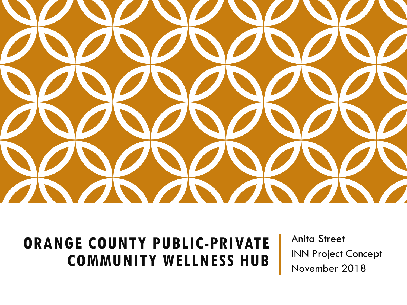

### **ORANGE COUNTY PUBLIC-PRIVATE COMMUNITY WELLNESS HUB**

Anita Street INN Project Concept November 2018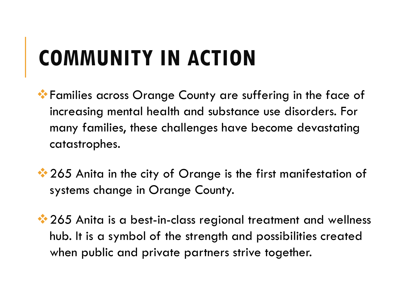## **COMMUNITY IN ACTION**

- Families across Orange County are suffering in the face of increasing mental health and substance use disorders. For many families, these challenges have become devastating catastrophes.
- $\cdot$  265 Anita in the city of Orange is the first manifestation of systems change in Orange County.
- **<sup>◆</sup> 265** Anita is a best-in-class regional treatment and wellness hub. It is a symbol of the strength and possibilities created when public and private partners strive together.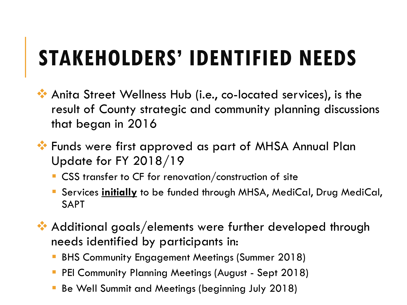## **STAKEHOLDERS' IDENTIFIED NEEDS**

- Anita Street Wellness Hub (i.e., co-located services), is the result of County strategic and community planning discussions that began in 2016
- **\*\*** Funds were first approved as part of MHSA Annual Plan Update for FY 2018/19
	- CSS transfer to CF for renovation/construction of site
	- Services **initially** to be funded through MHSA, MediCal, Drug MediCal, SAPT
- Additional goals/elements were further developed through needs identified by participants in:
	- BHS Community Engagement Meetings (Summer 2018)
	- PEI Community Planning Meetings (August Sept 2018)
	- Be Well Summit and Meetings (beginning July 2018)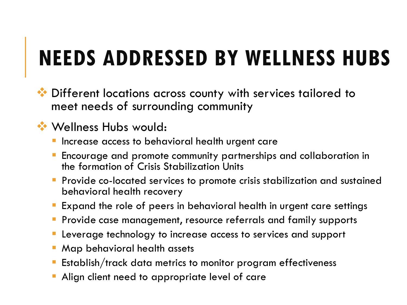## **NEEDS ADDRESSED BY WELLNESS HUBS**

 $\bullet\bullet$  Different locations across county with services tailored to meet needs of surrounding community

### $\cdot$  **Wellness Hubs would:**

- Increase access to behavioral health urgent care
- Encourage and promote community partnerships and collaboration in the formation of Crisis Stabilization Units
- **Provide co-located services to promote crisis stabilization and sustained** behavioral health recovery
- Expand the role of peers in behavioral health in urgent care settings
- Provide case management, resource referrals and family supports
- Leverage technology to increase access to services and support
- Map behavioral health assets
- Establish/track data metrics to monitor program effectiveness
- Align client need to appropriate level of care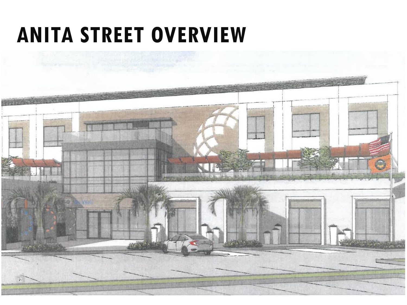### **ANITA STREET OVERVIEW**

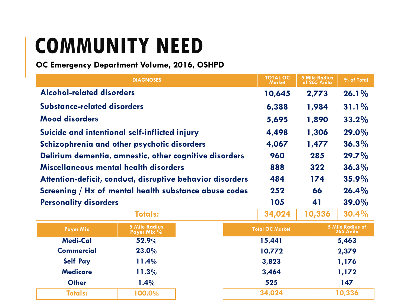## **COMMUNITY NEED**

#### **OC Emergency Department Volume, 2016, OSHPD**

| <b>DIAGNOSES</b>                                          |                                     |  | <b>TOTAL OC</b><br><b>Market</b> | <b>5 Mile Radius</b><br>of 265 Anita | $\sqrt{2}$ of Total                  |
|-----------------------------------------------------------|-------------------------------------|--|----------------------------------|--------------------------------------|--------------------------------------|
| <b>Alcohol-related disorders</b>                          |                                     |  | 10,645                           | 2,773                                | $26.1\%$                             |
| <b>Substance-related disorders</b>                        |                                     |  | 6,388                            | 1,984                                | $31.1\%$                             |
| <b>Mood disorders</b>                                     |                                     |  | 5,695                            | 1,890                                | $33.2\%$                             |
| Suicide and intentional self-inflicted injury             |                                     |  | 4,498                            | 1,306                                | 29.0%                                |
| Schizophrenia and other psychotic disorders               |                                     |  | 4,067                            | 1,477                                | 36.3%                                |
| Delirium dementia, amnestic, other cognitive disorders    |                                     |  | 960                              | 285                                  | $29.7\%$                             |
| Miscellaneous mental health disorders                     |                                     |  | 888                              | 322                                  | $36.3\%$                             |
| Attention-deficit, conduct, disruptive behavior disorders |                                     |  | 484                              | 174                                  | 35.9%                                |
| Screening / Hx of mental health substance abuse codes     |                                     |  | 252                              | 66                                   | $26.4\%$                             |
| <b>Personality disorders</b>                              |                                     |  | 105                              | 41                                   | $39.0\%$                             |
|                                                           | <b>Totals:</b>                      |  | 34,024                           | 10,336                               | $30.4\%$                             |
| <b>Payer Mix</b>                                          | <b>5 Mile Radius</b><br>Payer Mix % |  | <b>Total OC Market</b>           |                                      | <b>5 Mile Radius of</b><br>265 Anita |
| <b>Medi-Cal</b>                                           | 52.9%                               |  | 15,441                           | 5,463                                |                                      |
| <b>Commercial</b>                                         | 23.0%                               |  | 10,772                           | 2,379                                |                                      |
| <b>Self Pay</b>                                           | 11.4%                               |  | 3,823                            | 1,176                                |                                      |
| <b>Medicare</b>                                           | 11.3%                               |  | 3,464                            |                                      | 1,172                                |
| <b>Other</b>                                              | 1.4%                                |  | 525                              |                                      | 147                                  |
| <b>Totals:</b>                                            | 100.0%                              |  | 34,024                           |                                      | 10,336                               |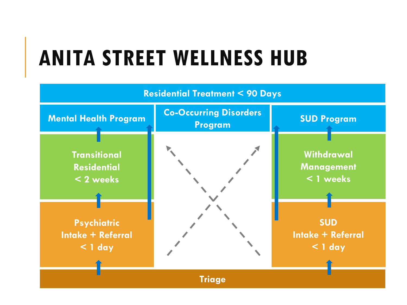## **ANITA STREET WELLNESS HUB**

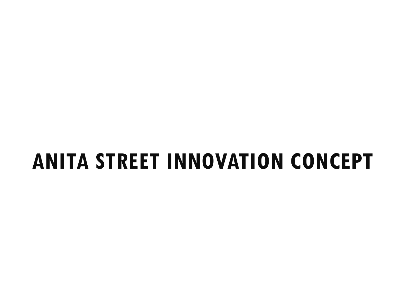### **ANITA STREET INNOVATION CONCEPT**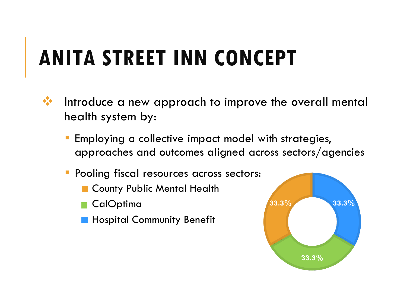# **ANITA STREET INN CONCEPT**

- **\*\*** Introduce a new approach to improve the overall mental health system by:
	- Employing a collective impact model with strategies, approaches and outcomes aligned across sectors/agencies
	- Pooling fiscal resources across sectors:
		- **E** County Public Mental Health
		- CalOptima
		- **Hospital Community Benefit**

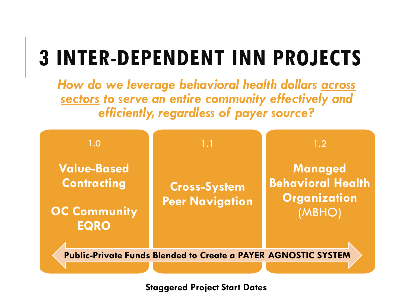# **3 INTER-DEPENDENT INN PROJECTS**

*How do we leverage behavioral health dollars across sectors to serve an entire community effectively and efficiently, regardless of payer source?* 



**Staggered Project Start Dates**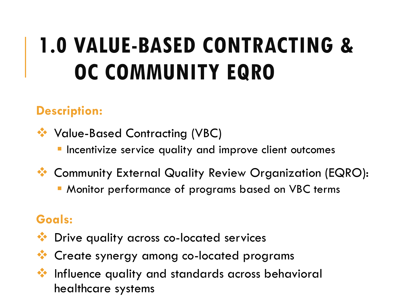# **1.0 VALUE-BASED CONTRACTING & OC COMMUNITY EQRO**

### **Description:**

Value-Based Contracting (VBC)

- Incentivize service quality and improve client outcomes
- Community External Quality Review Organization (EQRO):
	- Monitor performance of programs based on VBC terms

### **Goals:**

- Drive quality across co-located services
- **Create synergy among co-located programs**
- **W** Influence quality and standards across behavioral healthcare systems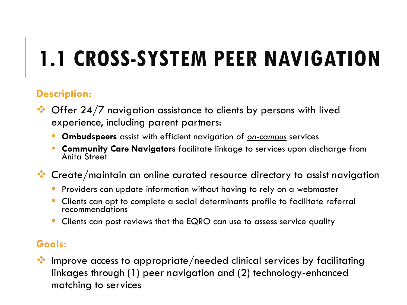# **1.1 CROSS-SYSTEM PEER NAVIGATION**

### **Description:**

- $\bullet\bullet$  Offer 24/7 navigation assistance to clients by persons with lived experience, including parent partners:
	- **Ombudspeers** assist with efficient navigation of *on-campus* services
	- **Community Care Navigators** facilitate linkage to services upon discharge from Anita Street
- $\bullet\bullet$  Create/maintain an online curated resource directory to assist navigation
	- **Providers can update information without having to rely on a webmaster**
	- Clients can opt to complete a social determinants profile to facilitate referral recommendations
	- Clients can post reviews that the EQRO can use to assess service quality

#### **Goals:**

 $\bullet\bullet$  Improve access to appropriate/needed clinical services by facilitating linkages through (1) peer navigation and (2) technology-enhanced matching to services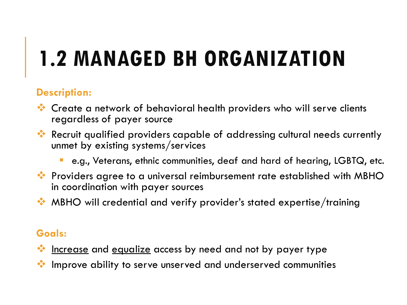# **1.2 MANAGED BH ORGANIZATION**

### **Description:**

- Create a network of behavioral health providers who will serve clients regardless of payer source
- Recruit qualified providers capable of addressing cultural needs currently unmet by existing systems/services
	- e.g., Veterans, ethnic communities, deaf and hard of hearing, LGBTQ, etc.
- **\*** Providers agree to a universal reimbursement rate established with MBHO in coordination with payer sources
- MBHO will credential and verify provider's stated expertise/training

#### **Goals:**

- **Example 20 increase and equalize access by need and not by payer type**
- Improve ability to serve unserved and underserved communities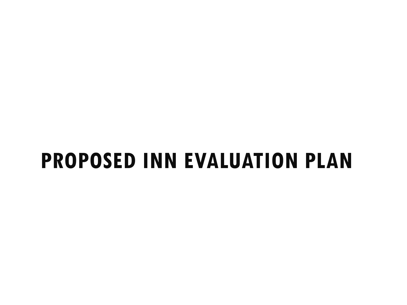### **PROPOSED INN EVALUATION PLAN**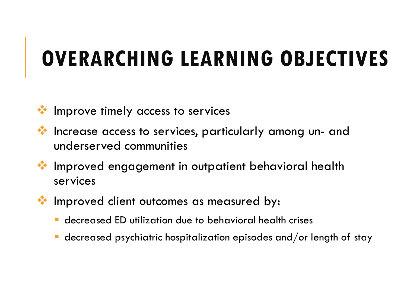### **OVERARCHING LEARNING OBJECTIVES**

- **Improve timely access to services**
- Increase access to services, particularly among un- and underserved communities
- Improved engagement in outpatient behavioral health services
- **W** Improved client outcomes as measured by:
	- decreased ED utilization due to behavioral health crises
	- decreased psychiatric hospitalization episodes and/or length of stay